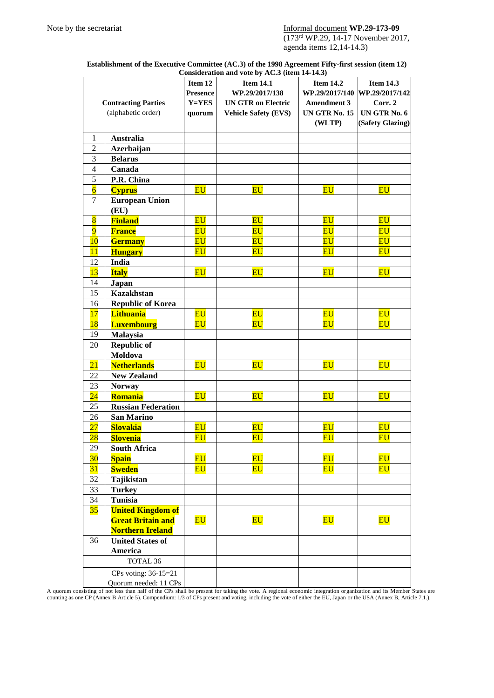## Note by the secretariat Informal document **WP.29-173-09**

(173rd WP.29, 14-17 November 2017, agenda items 12,14-14.3)

| Establishment of the Executive Committee (AC.3) of the 1998 Agreement Fifty-first session (item 12) |  |
|-----------------------------------------------------------------------------------------------------|--|
| Consideration and vote by AC.3 (item 14-14.3)                                                       |  |

|                            |                           |                                   | Consideration and vote by AC.5 (hem 14-14.5) |                                   |                                   |
|----------------------------|---------------------------|-----------------------------------|----------------------------------------------|-----------------------------------|-----------------------------------|
|                            |                           | Item 12                           | <b>Item 14.1</b>                             | <b>Item 14.2</b>                  | <b>Item 14.3</b>                  |
|                            |                           | <b>Presence</b>                   | WP.29/2017/138                               | WP.29/2017/140                    | WP.29/2017/142                    |
| <b>Contracting Parties</b> |                           | Y=YES                             | <b>UN GTR on Electric</b>                    | <b>Amendment 3</b>                | Corr. 2                           |
| (alphabetic order)         |                           | quorum                            | <b>Vehicle Safety (EVS)</b>                  | <b>UN GTR No. 15</b>              | UN GTR No. 6                      |
|                            |                           |                                   |                                              | (WLTP)                            | (Safety Glazing)                  |
|                            |                           |                                   |                                              |                                   |                                   |
| $\mathbf{1}$               | <b>Australia</b>          |                                   |                                              |                                   |                                   |
| $\overline{2}$             | Azerbaijan                |                                   |                                              |                                   |                                   |
| 3                          | <b>Belarus</b>            |                                   |                                              |                                   |                                   |
| $\overline{4}$             | Canada                    |                                   |                                              |                                   |                                   |
| 5                          | P.R. China                |                                   |                                              |                                   |                                   |
| $\overline{6}$             | <b>Cyprus</b>             | <b>EU</b>                         | $\overline{\mathbf{E}\mathbf{U}}$            | $E_{\rm U}$                       | $\overline{\mathbf{E}\mathbf{U}}$ |
| $\tau$                     | <b>European Union</b>     |                                   |                                              |                                   |                                   |
|                            | (EU)                      |                                   |                                              |                                   |                                   |
| $\overline{\mathbf{8}}$    | <b>Finland</b>            | $E_{\rm U}$                       | $\overline{\mathbf{E}\mathbf{U}}$            | $\overline{\mathbf{E}\mathbf{U}}$ | $\overline{\mathbf{E}\mathbf{U}}$ |
| $\overline{9}$             | <b>France</b>             | $\overline{\mathbf{E}\mathbf{U}}$ | $\overline{\mathbf{E}\mathbf{U}}$            | $\overline{\mathbf{E}\mathbf{U}}$ | $\overline{\mathbf{E}\mathbf{U}}$ |
| 10                         | <b>Germany</b>            | $\overline{\mathbf{E}\mathbf{U}}$ | $E_{\rm U}$                                  | $\overline{\mathbf{E}\mathbf{U}}$ | $\overline{\mathbf{E}\mathbf{U}}$ |
| 11                         | <b>Hungary</b>            | <b>EU</b>                         | $\overline{\mathbf{E}\mathbf{U}}$            | <b>EU</b>                         | $\overline{\mathbf{E}\mathbf{U}}$ |
| 12                         | <b>India</b>              |                                   |                                              |                                   |                                   |
| 13                         | <b>Italy</b>              | <b>EU</b>                         | $\overline{\mathbf{E}\mathbf{U}}$            | $\overline{\mathbf{E}\mathbf{U}}$ | E <sub>U</sub>                    |
| 14                         | Japan                     |                                   |                                              |                                   |                                   |
| 15                         | <b>Kazakhstan</b>         |                                   |                                              |                                   |                                   |
| 16                         | <b>Republic of Korea</b>  |                                   |                                              |                                   |                                   |
| 17                         | <b>Lithuania</b>          | E <sub>U</sub>                    | <b>EU</b>                                    | $E_{\rm U}$                       | $\overline{\mathbf{E}\mathbf{U}}$ |
| <b>18</b>                  | <b>Luxembourg</b>         | $E_{\rm U}$                       | $\overline{\mathbf{E}\mathbf{U}}$            | $\overline{\mathbf{E}\mathbf{U}}$ | $\overline{\mathbf{E}\mathbf{U}}$ |
| 19                         | Malaysia                  |                                   |                                              |                                   |                                   |
| 20                         | <b>Republic of</b>        |                                   |                                              |                                   |                                   |
|                            | Moldova                   |                                   |                                              |                                   |                                   |
| 21                         | <b>Netherlands</b>        | <b>EU</b>                         | <b>EU</b>                                    | $E$ U                             | <b>EU</b>                         |
| 22                         |                           |                                   |                                              |                                   |                                   |
|                            | <b>New Zealand</b>        |                                   |                                              |                                   |                                   |
| 23                         | <b>Norway</b>             |                                   |                                              |                                   |                                   |
| $\overline{24}$            | Romania                   | $E_{\text{U}}$                    | <b>EU</b>                                    | $\overline{\mathbf{E}\mathbf{U}}$ | $\overline{\mathbf{E}\mathbf{U}}$ |
| 25                         | <b>Russian Federation</b> |                                   |                                              |                                   |                                   |
| 26                         | <b>San Marino</b>         |                                   |                                              |                                   |                                   |
| 27                         | <b>Slovakia</b>           | $\overline{\mathbf{E}\mathbf{U}}$ | $\overline{\mathbf{E}\mathbf{U}}$            | $\overline{\mathbf{E}\mathbf{U}}$ | $\overline{\mathbf{E}\mathbf{U}}$ |
| $\overline{28}$            | <b>Slovenia</b>           | $E_{\rm U}$                       | $\overline{\mathbf{E}\mathbf{U}}$            | <b>EU</b>                         | $\overline{\mathbf{E}\mathbf{U}}$ |
| 29                         | <b>South Africa</b>       |                                   |                                              |                                   |                                   |
| 30                         | <b>Spain</b>              | $\overline{\mathbf{E}\mathbf{U}}$ | $\overline{\mathbf{E}\mathbf{U}}$            | $\overline{\mathbf{E}\mathbf{U}}$ | $\overline{\mathbf{E}\mathbf{U}}$ |
| 31                         | <b>Sweden</b>             | $\overline{\mathbf{E}}\mathbf{U}$ | $\overline{\mathbf{E}\mathbf{U}}$            | $\overline{\mathbf{E}\mathbf{U}}$ | $\overline{\mathbf{E}\mathbf{U}}$ |
| 32                         | Tajikistan                |                                   |                                              |                                   |                                   |
| 33                         | <b>Turkey</b>             |                                   |                                              |                                   |                                   |
| 34                         | <b>Tunisia</b>            |                                   |                                              |                                   |                                   |
| 35                         | <b>United Kingdom of</b>  |                                   |                                              |                                   |                                   |
|                            | <b>Great Britain and</b>  | $E_{\rm U}$                       | $\overline{\mathbf{E}\mathbf{U}}$            | $\overline{\mathbf{E}\mathbf{U}}$ | $\overline{\mathbf{E}\mathbf{U}}$ |
|                            | <b>Northern Ireland</b>   |                                   |                                              |                                   |                                   |
| 36                         | <b>United States of</b>   |                                   |                                              |                                   |                                   |
|                            | <b>America</b>            |                                   |                                              |                                   |                                   |
|                            | TOTAL 36                  |                                   |                                              |                                   |                                   |
|                            | CPs voting: 36-15=21      |                                   |                                              |                                   |                                   |
|                            | Quorum needed: 11 CPs     |                                   |                                              |                                   |                                   |

A quorum consisting of not less than half of the CPs shall be present for taking the vote. A regional economic integration organization and its Member States are counting as one CP (Annex B Article 5). Compendium: 1/3 of CPs present and voting, including the vote of either the EU, Japan or the USA (Annex B, Article 7.1.).